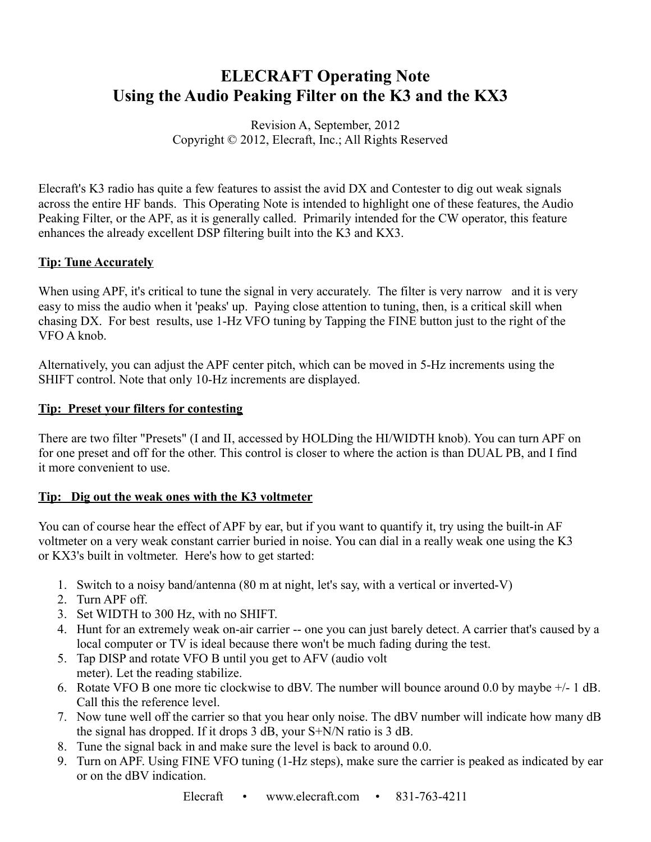# **ELECRAFT Operating Note Using the Audio Peaking Filter on the K3 and the KX3**

## Revision A, September, 2012 Copyright © 2012, Elecraft, Inc.; All Rights Reserved

Elecraft's K3 radio has quite a few features to assist the avid DX and Contester to dig out weak signals across the entire HF bands. This Operating Note is intended to highlight one of these features, the Audio Peaking Filter, or the APF, as it is generally called. Primarily intended for the CW operator, this feature enhances the already excellent DSP filtering built into the K3 and KX3.

## **Tip: Tune Accurately**

When using APF, it's critical to tune the signal in very accurately. The filter is very narrow and it is very easy to miss the audio when it 'peaks' up. Paying close attention to tuning, then, is a critical skill when chasing DX. For best results, use 1-Hz VFO tuning by Tapping the FINE button just to the right of the VFO A knob.

Alternatively, you can adjust the APF center pitch, which can be moved in 5-Hz increments using the SHIFT control. Note that only 10-Hz increments are displayed.

### **Tip: Preset your filters for contesting**

There are two filter "Presets" (I and II, accessed by HOLDing the HI/WIDTH knob). You can turn APF on for one preset and off for the other. This control is closer to where the action is than DUAL PB, and I find it more convenient to use.

### **Tip: Dig out the weak ones with the K3 voltmeter**

You can of course hear the effect of APF by ear, but if you want to quantify it, try using the built-in AF voltmeter on a very weak constant carrier buried in noise. You can dial in a really weak one using the K3 or KX3's built in voltmeter. Here's how to get started:

- 1. Switch to a noisy band/antenna (80 m at night, let's say, with a vertical or inverted-V)
- 2. Turn APF off.
- 3. Set WIDTH to 300 Hz, with no SHIFT.
- 4. Hunt for an extremely weak on-air carrier -- one you can just barely detect. A carrier that's caused by a local computer or TV is ideal because there won't be much fading during the test.
- 5. Tap DISP and rotate VFO B until you get to AFV (audio volt meter). Let the reading stabilize.
- 6. Rotate VFO B one more tic clockwise to dBV. The number will bounce around 0.0 by maybe +/- 1 dB. Call this the reference level.
- 7. Now tune well off the carrier so that you hear only noise. The dBV number will indicate how many dB the signal has dropped. If it drops 3 dB, your S+N/N ratio is 3 dB.
- 8. Tune the signal back in and make sure the level is back to around 0.0.
- 9. Turn on APF. Using FINE VFO tuning (1-Hz steps), make sure the carrier is peaked as indicated by ear or on the dBV indication.

Elecraft • www.elecraft.com • 831-763-4211